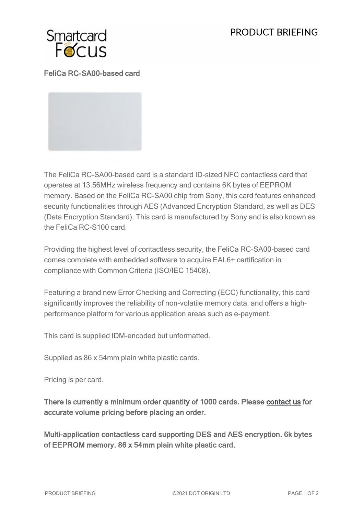## PRODUCT BRIFFING



FeliCa RC-SA00-based card

The FeliCa RC-SA00-based card is a standard ID-sized NFC contactless card that operates at 13.56MHz wireless frequency and contains 6K bytes of EEPROM memory. Based on the FeliCa RC-SA00 chip from Sony, this card features enhanced security functionalities through AES (Advanced Encryption Standard, as well as DES (Data Encryption Standard). This card is manufactured by Sony and is also known as the FeliCa RC-S100 card.

Providing the highest level of contactless security, the FeliCa RC-SA00-based card comes complete with embedded software to acquire EAL6+ certification in compliance with Common Criteria (ISO/IEC 15408).

Featuring a brand new Error Checking and Correcting (ECC) functionality, this card significantly improves the reliability of non-volatile memory data, and offers a highperformance platform for various application areas such as e-payment.

This card is supplied IDM-encoded but unformatted.

Supplied as 86 x 54mm plain white plastic cards.

Pricing is per card.

There is currently a minimum order quantity of 1000 cards. Please [contact us](https://www.smartcardfocus.com/contact.shtml) for accurate volume pricing before placing an order.

Multi-application contactless card supporting DES and AES encryption. 6k bytes of EEPROM memory. 86 x 54mm plain white plastic card.